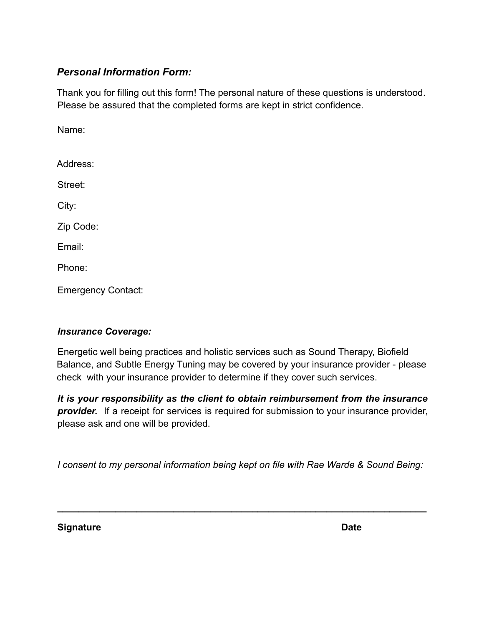## *Personal Information Form:*

Thank you for filling out this form! The personal nature of these questions is understood. Please be assured that the completed forms are kept in strict confidence.

Name:

| Address:  |  |
|-----------|--|
| Street:   |  |
| City:     |  |
| Zip Code: |  |
| Email:    |  |
| Phone:    |  |

Emergency Contact:

### *Insurance Coverage:*

Energetic well being practices and holistic services such as Sound Therapy, Biofield Balance, and Subtle Energy Tuning may be covered by your insurance provider - please check with your insurance provider to determine if they cover such services.

*It is your responsibility as the client to obtain reimbursement from the insurance provider.* If a receipt for services is required for submission to your insurance provider, please ask and one will be provided.

*I consent to my personal information being kept on file with Rae Warde & Sound Being:*

**\_\_\_\_\_\_\_\_\_\_\_\_\_\_\_\_\_\_\_\_\_\_\_\_\_\_\_\_\_\_\_\_\_\_\_\_\_\_\_\_\_\_\_\_\_\_\_\_\_\_\_\_\_\_\_\_\_\_\_\_\_\_\_\_\_\_\_\_\_\_**

**Signature Date**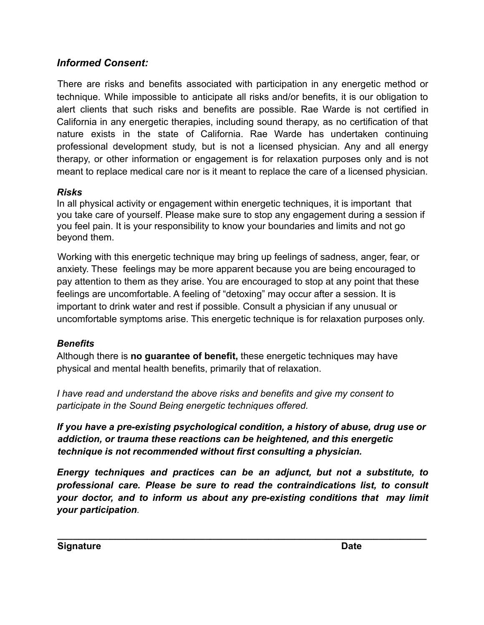# *Informed Consent:*

There are risks and benefits associated with participation in any energetic method or technique. While impossible to anticipate all risks and/or benefits, it is our obligation to alert clients that such risks and benefits are possible. Rae Warde is not certified in California in any energetic therapies, including sound therapy, as no certification of that nature exists in the state of California. Rae Warde has undertaken continuing professional development study, but is not a licensed physician. Any and all energy therapy, or other information or engagement is for relaxation purposes only and is not meant to replace medical care nor is it meant to replace the care of a licensed physician.

## *Risks*

In all physical activity or engagement within energetic techniques, it is important that you take care of yourself. Please make sure to stop any engagement during a session if you feel pain. It is your responsibility to know your boundaries and limits and not go beyond them.

Working with this energetic technique may bring up feelings of sadness, anger, fear, or anxiety. These feelings may be more apparent because you are being encouraged to pay attention to them as they arise. You are encouraged to stop at any point that these feelings are uncomfortable. A feeling of "detoxing" may occur after a session. It is important to drink water and rest if possible. Consult a physician if any unusual or uncomfortable symptoms arise. This energetic technique is for relaxation purposes only.

# *Benefits*

Although there is **no guarantee of benefit,** these energetic techniques may have physical and mental health benefits, primarily that of relaxation.

*I have read and understand the above risks and benefits and give my consent to participate in the Sound Being energetic techniques offered.*

*If you have a pre-existing psychological condition, a history of abuse, drug use or addiction, or trauma these reactions can be heightened, and this energetic technique is not recommended without first consulting a physician.*

*Energy techniques and practices can be an adjunct, but not a substitute, to professional care. Please be sure to read the contraindications list, to consult your doctor, and to inform us about any pre-existing conditions that may limit your participation.*

**\_\_\_\_\_\_\_\_\_\_\_\_\_\_\_\_\_\_\_\_\_\_\_\_\_\_\_\_\_\_\_\_\_\_\_\_\_\_\_\_\_\_\_\_\_\_\_\_\_\_\_\_\_\_\_\_\_\_\_\_\_\_\_\_\_\_\_\_\_\_**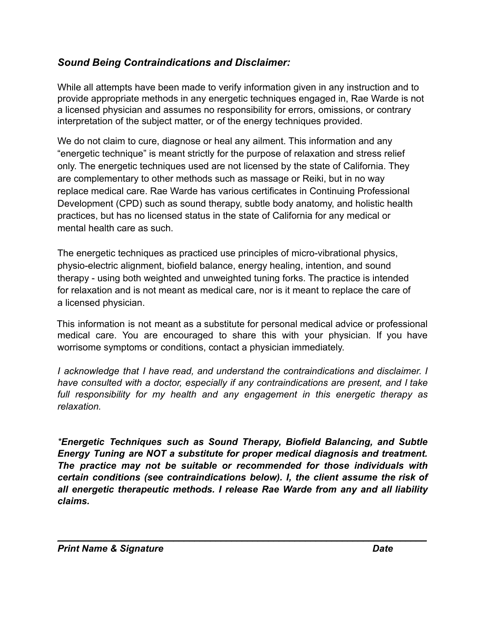# *Sound Being Contraindications and Disclaimer:*

While all attempts have been made to verify information given in any instruction and to provide appropriate methods in any energetic techniques engaged in, Rae Warde is not a licensed physician and assumes no responsibility for errors, omissions, or contrary interpretation of the subject matter, or of the energy techniques provided.

We do not claim to cure, diagnose or heal any ailment. This information and any "energetic technique" is meant strictly for the purpose of relaxation and stress relief only. The energetic techniques used are not licensed by the state of California. They are complementary to other methods such as massage or Reiki, but in no way replace medical care. Rae Warde has various certificates in Continuing Professional Development (CPD) such as sound therapy, subtle body anatomy, and holistic health practices, but has no licensed status in the state of California for any medical or mental health care as such.

The energetic techniques as practiced use principles of micro-vibrational physics, physio-electric alignment, biofield balance, energy healing, intention, and sound therapy - using both weighted and unweighted tuning forks. The practice is intended for relaxation and is not meant as medical care, nor is it meant to replace the care of a licensed physician.

This information is not meant as a substitute for personal medical advice or professional medical care. You are encouraged to share this with your physician. If you have worrisome symptoms or conditions, contact a physician immediately.

*I acknowledge that I have read, and understand the contraindications and disclaimer. I have consulted with a doctor, especially if any contraindications are present, and I take full responsibility for my health and any engagement in this energetic therapy as relaxation.*

*\*Energetic Techniques such as Sound Therapy, Biofield Balancing, and Subtle Energy Tuning are NOT a substitute for proper medical diagnosis and treatment. The practice may not be suitable or recommended for those individuals with certain conditions (see contraindications below). I, the client assume the risk of all energetic therapeutic methods. I release Rae Warde from any and all liability claims.*

\_\_\_\_\_\_\_\_\_\_\_\_\_\_\_\_\_\_\_\_\_\_\_\_\_\_\_\_\_\_\_\_\_\_\_\_\_\_\_\_\_\_\_\_\_\_\_\_\_\_\_\_\_\_\_\_\_\_\_\_\_\_\_\_\_\_\_\_\_\_